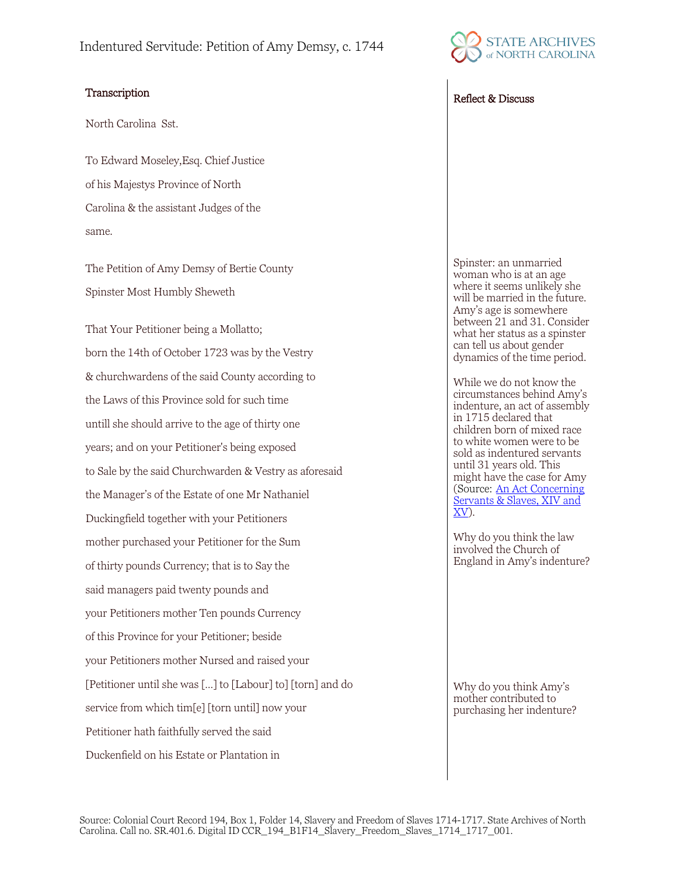## Transcription and the contract of the contract of the Reflect & Discuss

North Carolina Sst.

To Edward Moseley,Esq. Chief Justice of his Majestys Province of North Carolina & the assistant Judges of the same.

The Petition of Amy Demsy of Bertie County Spinster Most Humbly Sheweth

That Your Petitioner being a Mollatto; born the 14th of October 1723 was by the Vestry & churchwardens of the said County according to the Laws of this Province sold for such time untill she should arrive to the age of thirty one years; and on your Petitioner's being exposed to Sale by the said Churchwarden & Vestry as aforesaid the Manager's of the Estate of one Mr Nathaniel Duckingfield together with your Petitioners mother purchased your Petitioner for the Sum of thirty pounds Currency; that is to Say the said managers paid twenty pounds and your Petitioners mother Ten pounds Currency of this Province for your Petitioner; beside your Petitioners mother Nursed and raised your [Petitioner until she was […] to [Labour] to] [torn] and do service from which tim[e] [torn until] now your Petitioner hath faithfully served the said Duckenfield on his Estate or Plantation in



Spinster: an unmarried woman who is at an age where it seems unlikely she will be married in the future. Amy's age is somewhere between 21 and 31. Consider what her status as a spinster can tell us about gender dynamics of the time period.

While we do not know the circumstances behind Amy's indenture, an act of assembly in 1715 declared that children born of mixed race to white women were to be sold as indentured servants until 31 years old. This might have the case for Amy (Source: [An Act Concerning](https://docsouth.unc.edu/csr/index.php/document/csr23-0001)  [Servants & Slaves, XIV and](https://docsouth.unc.edu/csr/index.php/document/csr23-0001)  [XV\)](https://docsouth.unc.edu/csr/index.php/document/csr23-0001).

Why do you think the law involved the Church of England in Amy's indenture?

Why do you think Amy's mother contributed to purchasing her indenture?